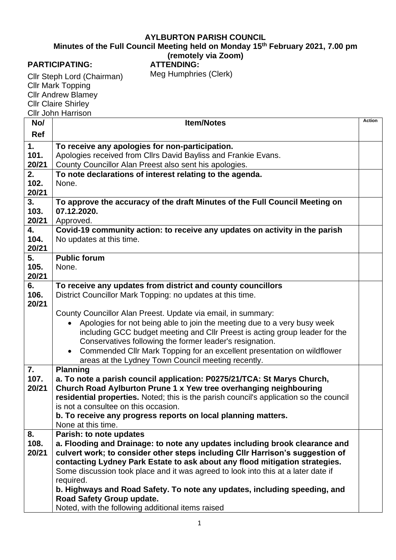## **AYLBURTON PARISH COUNCIL**

**Minutes of the Full Council Meeting held on Monday 15th February 2021, 7.00 pm**

## **(remotely via Zoom)**

## **PARTICIPATING:**

**ATTENDING:** Meg Humphries (Clerk)

Cllr Steph Lord (Chairman) Cllr Mark Topping Cllr Andrew Blamey Cllr Claire Shirley Cllr John Harrison

| No/              | <b>Item/Notes</b>                                                                                                              | <b>Action</b> |
|------------------|--------------------------------------------------------------------------------------------------------------------------------|---------------|
| Ref              |                                                                                                                                |               |
| 1.               | To receive any apologies for non-participation.                                                                                |               |
| 101.             | Apologies received from Cllrs David Bayliss and Frankie Evans.                                                                 |               |
| 20/21            | County Councillor Alan Preest also sent his apologies.                                                                         |               |
| 2.               | To note declarations of interest relating to the agenda.                                                                       |               |
| 102.             | None.                                                                                                                          |               |
| 20/21            |                                                                                                                                |               |
| 3.               | To approve the accuracy of the draft Minutes of the Full Council Meeting on                                                    |               |
| 103.             | 07.12.2020.                                                                                                                    |               |
| 20/21            | Approved.                                                                                                                      |               |
| 4.               | Covid-19 community action: to receive any updates on activity in the parish                                                    |               |
| 104.<br>20/21    | No updates at this time.                                                                                                       |               |
| 5.               | <b>Public forum</b>                                                                                                            |               |
| 105.             | None.                                                                                                                          |               |
| 20/21            |                                                                                                                                |               |
| 6.               | To receive any updates from district and county councillors                                                                    |               |
| 106.             | District Councillor Mark Topping: no updates at this time.                                                                     |               |
| 20/21            |                                                                                                                                |               |
|                  | County Councillor Alan Preest. Update via email, in summary:                                                                   |               |
|                  | Apologies for not being able to join the meeting due to a very busy week                                                       |               |
|                  | including GCC budget meeting and CIIr Preest is acting group leader for the                                                    |               |
|                  | Conservatives following the former leader's resignation.                                                                       |               |
|                  | Commended Cllr Mark Topping for an excellent presentation on wildflower<br>$\bullet$                                           |               |
|                  | areas at the Lydney Town Council meeting recently.                                                                             |               |
| $\overline{7}$ . | <b>Planning</b>                                                                                                                |               |
| 107.             | a. To note a parish council application: P0275/21/TCA: St Marys Church,                                                        |               |
| 20/21            | Church Road Aylburton Prune 1 x Yew tree overhanging neighbouring                                                              |               |
|                  | residential properties. Noted; this is the parish council's application so the council<br>is not a consultee on this occasion. |               |
|                  | b. To receive any progress reports on local planning matters.                                                                  |               |
|                  | None at this time.                                                                                                             |               |
| 8.               | Parish: to note updates                                                                                                        |               |
| 108.             | a. Flooding and Drainage: to note any updates including brook clearance and                                                    |               |
| 20/21            | culvert work; to consider other steps including CIIr Harrison's suggestion of                                                  |               |
|                  | contacting Lydney Park Estate to ask about any flood mitigation strategies.                                                    |               |
|                  | Some discussion took place and it was agreed to look into this at a later date if                                              |               |
|                  | required.                                                                                                                      |               |
|                  | b. Highways and Road Safety. To note any updates, including speeding, and                                                      |               |
|                  | Road Safety Group update.                                                                                                      |               |
|                  | Noted, with the following additional items raised                                                                              |               |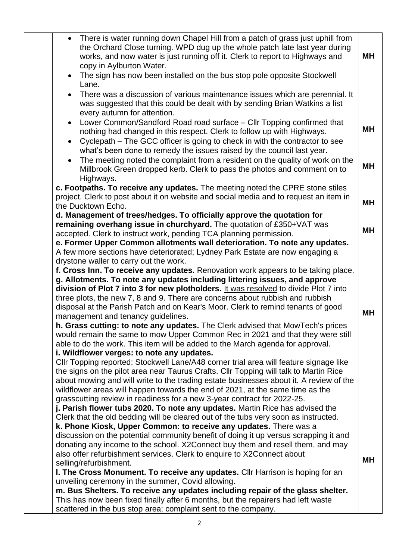|           | • There is water running down Chapel Hill from a patch of grass just uphill from<br>the Orchard Close turning. WPD dug up the whole patch late last year during<br>works, and now water is just running off it. Clerk to report to Highways and | MΗ        |
|-----------|-------------------------------------------------------------------------------------------------------------------------------------------------------------------------------------------------------------------------------------------------|-----------|
| $\bullet$ | copy in Aylburton Water.<br>The sign has now been installed on the bus stop pole opposite Stockwell                                                                                                                                             |           |
|           | Lane.                                                                                                                                                                                                                                           |           |
| $\bullet$ | There was a discussion of various maintenance issues which are perennial. It<br>was suggested that this could be dealt with by sending Brian Watkins a list<br>every autumn for attention.                                                      |           |
|           | Lower Common/Sandford Road road surface - Cllr Topping confirmed that                                                                                                                                                                           |           |
|           | nothing had changed in this respect. Clerk to follow up with Highways.                                                                                                                                                                          | MΗ        |
| $\bullet$ | Cyclepath – The GCC officer is going to check in with the contractor to see                                                                                                                                                                     |           |
|           | what's been done to remedy the issues raised by the council last year.                                                                                                                                                                          |           |
|           | The meeting noted the complaint from a resident on the quality of work on the                                                                                                                                                                   |           |
|           | Millbrook Green dropped kerb. Clerk to pass the photos and comment on to                                                                                                                                                                        | MН        |
|           | Highways.                                                                                                                                                                                                                                       |           |
|           | c. Footpaths. To receive any updates. The meeting noted the CPRE stone stiles                                                                                                                                                                   |           |
|           | project. Clerk to post about it on website and social media and to request an item in<br>the Ducktown Echo.                                                                                                                                     | MН        |
|           | d. Management of trees/hedges. To officially approve the quotation for                                                                                                                                                                          |           |
|           | remaining overhang issue in churchyard. The quotation of £350+VAT was                                                                                                                                                                           |           |
|           | accepted. Clerk to instruct work, pending TCA planning permission.                                                                                                                                                                              | <b>MH</b> |
|           | e. Former Upper Common allotments wall deterioration. To note any updates.                                                                                                                                                                      |           |
|           | A few more sections have deteriorated; Lydney Park Estate are now engaging a                                                                                                                                                                    |           |
|           | drystone waller to carry out the work.                                                                                                                                                                                                          |           |
|           | f. Cross Inn. To receive any updates. Renovation work appears to be taking place.<br>g. Allotments. To note any updates including littering issues, and approve                                                                                 |           |
|           | division of Plot 7 into 3 for new plotholders. It was resolved to divide Plot 7 into                                                                                                                                                            |           |
|           | three plots, the new 7, 8 and 9. There are concerns about rubbish and rubbish                                                                                                                                                                   |           |
|           | disposal at the Parish Patch and on Kear's Moor. Clerk to remind tenants of good                                                                                                                                                                |           |
|           | management and tenancy guidelines.                                                                                                                                                                                                              | <b>MH</b> |
|           | h. Grass cutting: to note any updates. The Clerk advised that MowTech's prices                                                                                                                                                                  |           |
|           | would remain the same to mow Upper Common Rec in 2021 and that they were still                                                                                                                                                                  |           |
|           | able to do the work. This item will be added to the March agenda for approval.                                                                                                                                                                  |           |
|           | i. Wildflower verges: to note any updates.                                                                                                                                                                                                      |           |
|           | CIIr Topping reported: Stockwell Lane/A48 corner trial area will feature signage like<br>the signs on the pilot area near Taurus Crafts. Cllr Topping will talk to Martin Rice                                                                  |           |
|           | about mowing and will write to the trading estate businesses about it. A review of the                                                                                                                                                          |           |
|           | wildflower areas will happen towards the end of 2021, at the same time as the                                                                                                                                                                   |           |
|           | grasscutting review in readiness for a new 3-year contract for 2022-25.                                                                                                                                                                         |           |
|           | j. Parish flower tubs 2020. To note any updates. Martin Rice has advised the                                                                                                                                                                    |           |
|           | Clerk that the old bedding will be cleared out of the tubs very soon as instructed.                                                                                                                                                             |           |
|           | k. Phone Kiosk, Upper Common: to receive any updates. There was a                                                                                                                                                                               |           |
|           | discussion on the potential community benefit of doing it up versus scrapping it and                                                                                                                                                            |           |
|           | donating any income to the school. X2Connect buy them and resell them, and may                                                                                                                                                                  |           |
|           | also offer refurbishment services. Clerk to enquire to X2Connect about                                                                                                                                                                          | <b>MH</b> |
|           | selling/refurbishment.<br>I. The Cross Monument. To receive any updates. Cllr Harrison is hoping for an                                                                                                                                         |           |
|           | unveiling ceremony in the summer, Covid allowing.                                                                                                                                                                                               |           |
|           | m. Bus Shelters. To receive any updates including repair of the glass shelter.                                                                                                                                                                  |           |
|           | This has now been fixed finally after 6 months, but the repairers had left waste                                                                                                                                                                |           |
|           | scattered in the bus stop area; complaint sent to the company.                                                                                                                                                                                  |           |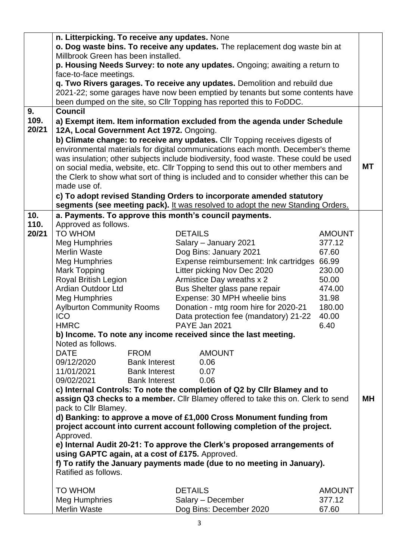|               | n. Litterpicking. To receive any updates. None                                                                       |                      |                                                                                      |               |           |
|---------------|----------------------------------------------------------------------------------------------------------------------|----------------------|--------------------------------------------------------------------------------------|---------------|-----------|
|               | o. Dog waste bins. To receive any updates. The replacement dog waste bin at                                          |                      |                                                                                      |               |           |
|               | Millbrook Green has been installed.                                                                                  |                      |                                                                                      |               |           |
|               |                                                                                                                      |                      | p. Housing Needs Survey: to note any updates. Ongoing; awaiting a return to          |               |           |
|               | face-to-face meetings.                                                                                               |                      | q. Two Rivers garages. To receive any updates. Demolition and rebuild due            |               |           |
|               |                                                                                                                      |                      | 2021-22; some garages have now been emptied by tenants but some contents have        |               |           |
|               |                                                                                                                      |                      | been dumped on the site, so Cllr Topping has reported this to FoDDC.                 |               |           |
| 9.            | <b>Council</b>                                                                                                       |                      |                                                                                      |               |           |
| 109.<br>20/21 | a) Exempt item. Item information excluded from the agenda under Schedule<br>12A, Local Government Act 1972. Ongoing. |                      |                                                                                      |               |           |
|               |                                                                                                                      |                      | b) Climate change: to receive any updates. Cllr Topping receives digests of          |               |           |
|               |                                                                                                                      |                      | environmental materials for digital communications each month. December's theme      |               |           |
|               |                                                                                                                      |                      | was insulation; other subjects include biodiversity, food waste. These could be used |               |           |
|               |                                                                                                                      |                      | on social media, website, etc. Cllr Topping to send this out to other members and    |               | <b>MT</b> |
|               |                                                                                                                      |                      | the Clerk to show what sort of thing is included and to consider whether this can be |               |           |
|               | made use of.                                                                                                         |                      |                                                                                      |               |           |
|               |                                                                                                                      |                      | c) To adopt revised Standing Orders to incorporate amended statutory                 |               |           |
|               |                                                                                                                      |                      | segments (see meeting pack). It was resolved to adopt the new Standing Orders.       |               |           |
| 10.           |                                                                                                                      |                      | a. Payments. To approve this month's council payments.                               |               |           |
| 110.          | Approved as follows.                                                                                                 |                      |                                                                                      |               |           |
| 20/21         | <b>TO WHOM</b>                                                                                                       |                      | <b>DETAILS</b>                                                                       | <b>AMOUNT</b> |           |
|               | Meg Humphries                                                                                                        |                      | Salary - January 2021                                                                | 377.12        |           |
|               | <b>Merlin Waste</b>                                                                                                  |                      | Dog Bins: January 2021                                                               | 67.60         |           |
|               | Meg Humphries                                                                                                        |                      | Expense reimbursement: Ink cartridges 66.99                                          |               |           |
|               | <b>Mark Topping</b>                                                                                                  |                      | Litter picking Nov Dec 2020                                                          | 230.00        |           |
|               | Royal British Legion                                                                                                 |                      | Armistice Day wreaths x 2                                                            | 50.00         |           |
|               | <b>Ardian Outdoor Ltd</b>                                                                                            |                      | Bus Shelter glass pane repair                                                        | 474.00        |           |
|               | <b>Meg Humphries</b>                                                                                                 |                      | Expense: 30 MPH wheelie bins                                                         | 31.98         |           |
|               | <b>Aylburton Community Rooms</b>                                                                                     |                      | Donation - mtg room hire for 2020-21                                                 | 180.00        |           |
|               | <b>ICO</b>                                                                                                           |                      | Data protection fee (mandatory) 21-22                                                | 40.00         |           |
|               | <b>HMRC</b>                                                                                                          |                      | PAYE Jan 2021                                                                        | 6.40          |           |
|               |                                                                                                                      |                      | b) Income. To note any income received since the last meeting.                       |               |           |
|               | Noted as follows.                                                                                                    |                      |                                                                                      |               |           |
|               | <b>DATE</b><br><b>FROM</b>                                                                                           |                      | <b>AMOUNT</b>                                                                        |               |           |
|               | 09/12/2020                                                                                                           | <b>Bank Interest</b> | 0.06                                                                                 |               |           |
|               | 11/01/2021                                                                                                           | <b>Bank Interest</b> | 0.07                                                                                 |               |           |
|               | 09/02/2021                                                                                                           | <b>Bank Interest</b> | 0.06                                                                                 |               |           |
|               |                                                                                                                      |                      | c) Internal Controls: To note the completion of Q2 by CIIr Blamey and to             |               |           |
|               |                                                                                                                      |                      | assign Q3 checks to a member. Cllr Blamey offered to take this on. Clerk to send     |               | MН        |
|               | pack to Cllr Blamey.                                                                                                 |                      | d) Banking: to approve a move of £1,000 Cross Monument funding from                  |               |           |
|               |                                                                                                                      |                      | project account into current account following completion of the project.            |               |           |
|               | Approved.                                                                                                            |                      |                                                                                      |               |           |
|               |                                                                                                                      |                      | e) Internal Audit 20-21: To approve the Clerk's proposed arrangements of             |               |           |
|               | using GAPTC again, at a cost of £175. Approved.                                                                      |                      |                                                                                      |               |           |
|               |                                                                                                                      |                      | f) To ratify the January payments made (due to no meeting in January).               |               |           |
|               | Ratified as follows.                                                                                                 |                      |                                                                                      |               |           |
|               | <b>TO WHOM</b>                                                                                                       |                      | <b>DETAILS</b>                                                                       | <b>AMOUNT</b> |           |
|               | Meg Humphries                                                                                                        |                      | Salary - December                                                                    | 377.12        |           |
|               | <b>Merlin Waste</b>                                                                                                  |                      | Dog Bins: December 2020                                                              | 67.60         |           |